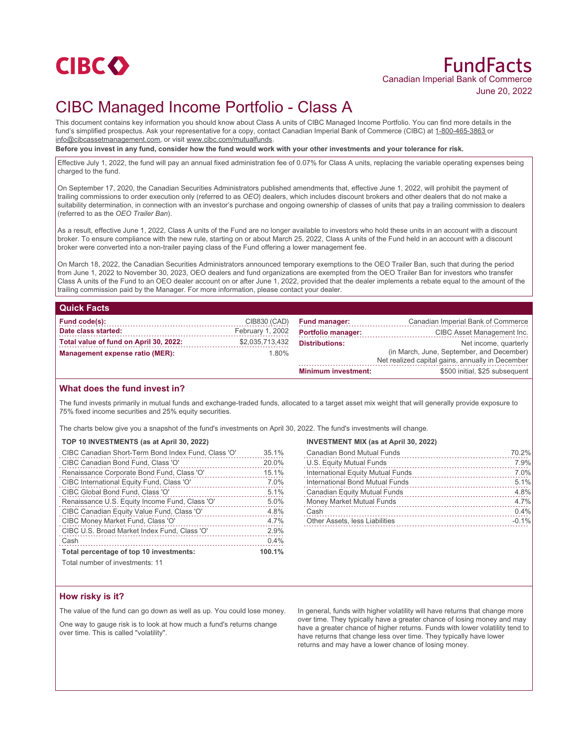

# CIBC Managed Income Portfolio - Class A

This document contains key information you should know about Class A units of CIBC Managed Income Portfolio. You can find more details in the fund's simplified prospectus. Ask your representative for a copy, contact Canadian Imperial Bank of Commerce (CIBC) at 1-800-465-3863 or info@cibcassetmanagement.com, or visit www.cibc.com/mutualfunds.

**Before you invest in any fund, consider how the fund would work with your other investments and your tolerance for risk.**

Effective July 1, 2022, the fund will pay an annual fixed administration fee of 0.07% for Class A units, replacing the variable operating expenses being charged to the fund.

On September 17, 2020, the Canadian Securities Administrators published amendments that, effective June 1, 2022, will prohibit the payment of trailing commissions to order execution only (referred to as *OEO*) dealers, which includes discount brokers and other dealers that do not make a suitability determination, in connection with an investor's purchase and ongoing ownership of classes of units that pay a trailing commission to dealers (referred to as the *OEO Trailer Ban*).

As a result, effective June 1, 2022, Class A units of the Fund are no longer available to investors who hold these units in an account with a discount broker. To ensure compliance with the new rule, starting on or about March 25, 2022, Class A units of the Fund held in an account with a discount broker were converted into a non-trailer paying class of the Fund offering a lower management fee.

On March 18, 2022, the Canadian Securities Administrators announced temporary exemptions to the OEO Trailer Ban, such that during the period from June 1, 2022 to November 30, 2023, OEO dealers and fund organizations are exempted from the OEO Trailer Ban for investors who transfer Class A units of the Fund to an OEO dealer account on or after June 1, 2022, provided that the dealer implements a rebate equal to the amount of the trailing commission paid by the Manager. For more information, please contact your dealer.

# **Quick Facts**

| Fund code(s):                          | CIB830 (CAD)     | <b>Fund manager:</b>       | Canadian Imperial Bank of Commerce               |
|----------------------------------------|------------------|----------------------------|--------------------------------------------------|
| Date class started:                    | February 1, 2002 | <b>Portfolio manager:</b>  | CIBC Asset Management Inc.                       |
| Total value of fund on April 30, 2022: | \$2,035,713,432  | <b>Distributions:</b>      | Net income, quarterly                            |
| Management expense ratio (MER):        | $1.80\%$         |                            | (in March, June, September, and December)        |
|                                        |                  |                            | Net realized capital gains, annually in December |
|                                        |                  | <b>Minimum investment:</b> | \$500 initial. \$25 subsequent                   |

### **What does the fund invest in?**

The fund invests primarily in mutual funds and exchange-traded funds, allocated to a target asset mix weight that will generally provide exposure to 75% fixed income securities and 25% equity securities.

The charts below give you a snapshot of the fund's investments on April 30, 2022. The fund's investments will change.

#### **TOP 10 INVESTMENTS (as at April 30, 2022)**

| CIBC Canadian Short-Term Bond Index Fund, Class 'O' | 35.1%  |
|-----------------------------------------------------|--------|
| CIBC Canadian Bond Fund, Class 'O'                  | 20.0%  |
| Renaissance Corporate Bond Fund, Class 'O'          | 15.1%  |
| CIBC International Equity Fund, Class 'O'           | 7.0%   |
| CIBC Global Bond Fund, Class 'O'                    | 5.1%   |
| Renaissance U.S. Equity Income Fund, Class 'O'      | 5.0%   |
| CIBC Canadian Equity Value Fund, Class 'O'          | 4.8%   |
| CIBC Money Market Fund, Class 'O'                   | 4.7%   |
| CIBC U.S. Broad Market Index Fund, Class 'O'        | 2.9%   |
| Cash                                                | 0.4%   |
| Total percentage of top 10 investments:             | 100.1% |
| Total number of invootmantar 11                     |        |

# **INVESTMENT MIX (as at April 30, 2022)**

| <b>Canadian Bond Mutual Funds</b>     | 70.2%   |
|---------------------------------------|---------|
| U.S. Equity Mutual Funds              | 7.9%    |
| International Equity Mutual Funds     | 7.0%    |
| International Bond Mutual Funds       | 5.1%    |
| <b>Canadian Equity Mutual Funds</b>   | 4.8%    |
| Money Market Mutual Funds             | 4.7%    |
| Cash                                  | 0.4%    |
| <b>Other Assets, less Liabilities</b> | $-0.1%$ |

**Total number of investments: 11** 

### **How risky is it?**

The value of the fund can go down as well as up. You could lose money.

One way to gauge risk is to look at how much a fund's returns change over time. This is called "volatility".

In general, funds with higher volatility will have returns that change more over time. They typically have a greater chance of losing money and may have a greater chance of higher returns. Funds with lower volatility tend to have returns that change less over time. They typically have lower returns and may have a lower chance of losing money.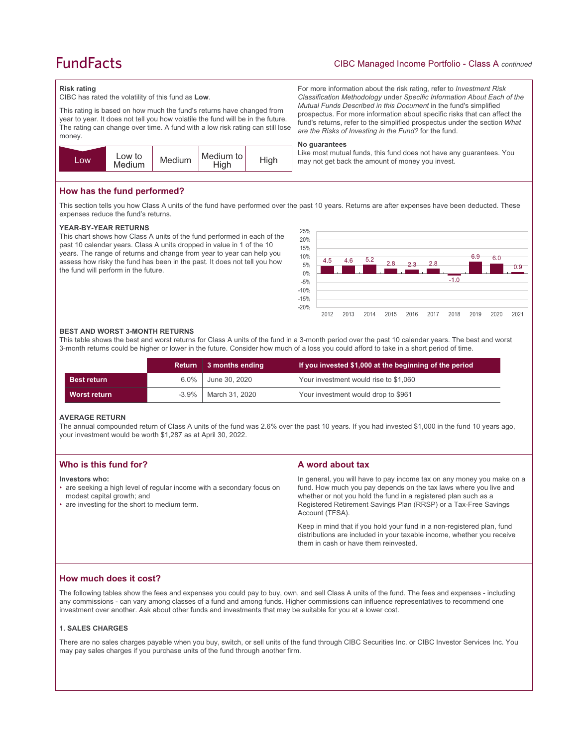# **FundFacts**

# CIBC Managed Income Portfolio - Class A *continued*

For more information about the risk rating, refer to *Investment Risk Classification Methodology* under *Specific Information About Each of the Mutual Funds Described in this Document* in the fund's simplified prospectus. For more information about specific risks that can affect the fund's returns, refer to the simplified prospectus under the section *What* 

Like most mutual funds, this fund does not have any guarantees. You

*are the Risks of Investing in the Fund?* for the fund.

may not get back the amount of money you invest.

#### **Risk rating**

CIBC has rated the volatility of this fund as **Low**.

This rating is based on how much the fund's returns have changed from year to year. It does not tell you how volatile the fund will be in the future. The rating can change over time. A fund with a low risk rating can still lose money.



## **How has the fund performed?**

This section tells you how Class A units of the fund have performed over the past 10 years. Returns are after expenses have been deducted. These expenses reduce the fund's returns.

**No guarantees**

#### **YEAR-BY-YEAR RETURNS**

This chart shows how Class A units of the fund performed in each of the past 10 calendar years. Class A units dropped in value in 1 of the 10 years. The range of returns and change from year to year can help you assess how risky the fund has been in the past. It does not tell you how the fund will perform in the future.



#### **BEST AND WORST 3-MONTH RETURNS**

This table shows the best and worst returns for Class A units of the fund in a 3-month period over the past 10 calendar years. The best and worst 3-month returns could be higher or lower in the future. Consider how much of a loss you could afford to take in a short period of time.

|                    | Return  | 3 months ending | If you invested \$1,000 at the beginning of the period |
|--------------------|---------|-----------------|--------------------------------------------------------|
| <b>Best return</b> | $6.0\%$ | June 30, 2020   | Your investment would rise to \$1,060                  |
| Worst return       | -3.9%   | March 31, 2020  | Your investment would drop to \$961                    |

#### **AVERAGE RETURN**

The annual compounded return of Class A units of the fund was 2.6% over the past 10 years. If you had invested \$1,000 in the fund 10 years ago, your investment would be worth \$1,287 as at April 30, 2022.

|                                                                                                                                                                                                                                                                                                                                                                                                                                   | Who is this fund for? | A word about tax                                                                                                                                                                                                      |
|-----------------------------------------------------------------------------------------------------------------------------------------------------------------------------------------------------------------------------------------------------------------------------------------------------------------------------------------------------------------------------------------------------------------------------------|-----------------------|-----------------------------------------------------------------------------------------------------------------------------------------------------------------------------------------------------------------------|
| • are seeking a high level of regular income with a secondary focus on<br>whether or not you hold the fund in a registered plan such as a<br>modest capital growth; and<br>• are investing for the short to medium term.<br>Registered Retirement Savings Plan (RRSP) or a Tax-Free Savings<br>Account (TFSA).<br>Keep in mind that if you hold your fund in a non-registered plan, fund<br>them in cash or have them reinvested. | Investors who:        | In general, you will have to pay income tax on any money you make on a<br>fund. How much you pay depends on the tax laws where you live and<br>distributions are included in your taxable income, whether you receive |

# **How much does it cost?**

The following tables show the fees and expenses you could pay to buy, own, and sell Class A units of the fund. The fees and expenses - including any commissions - can vary among classes of a fund and among funds. Higher commissions can influence representatives to recommend one investment over another. Ask about other funds and investments that may be suitable for you at a lower cost.

#### **1. SALES CHARGES**

There are no sales charges payable when you buy, switch, or sell units of the fund through CIBC Securities Inc. or CIBC Investor Services Inc. You may pay sales charges if you purchase units of the fund through another firm.